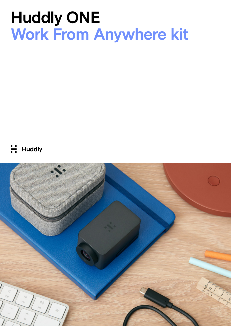# **Huddly ONE Work From Anywhere kit**

**Huddly** 

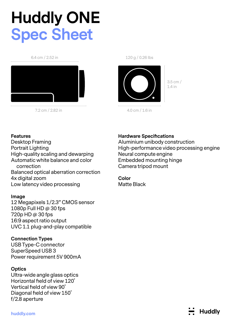# **Huddly ONE Spec Sheet**

#### 6.4 cm / 2.52 in



7.2 cm / 2.82 in

120 g / 0.26 lbs



1.4 in

3.5 cm /

4.0 cm / 1.6 in

### **Features**

Desktop Framing Portrait Lighting High-quality scaling and dewarping Automatic white balance and color correction Balanced optical aberration correction 4x digital zoom Low latency video processing

### **Image**

12 Megapixels 1/2.3" CMOS sensor 1080p Full HD @ 30 fps 720p HD @ 30 fps 16:9 aspect ratio output UVC 1.1 plug-and-play compatible

### **Connection Types**

USB Type-C connector SuperSpeed USB 3 Power requirement 5V 900mA

### **Optics**

Ultra-wide angle glass optics Horizontal field of view 120˚ Vertical field of view 90˚ Diagonal field of view 150˚ f/2.8 aperture

## **Hardware Specifications**

Aluminium unibody construction High-performance video processing engine Neural compute engine Embedded mounting hinge Camera tripod mount

**Color Matte Black** 

**Huddly**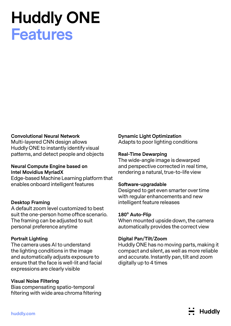# **Huddly ONE Features**

#### **Convolutional Neural Network**

Multi-layered CNN design allows Huddly ONE to instantly identify visual patterns, and detect people and objects

### **Neural Compute Engine based on Intel Movidius MyriadX**

Edge-based Machine Learning platform that enables onboard intelligent features

#### **Desktop Framing**

A default zoom level customized to best suit the one-person home office scenario. The framing can be adjusted to suit personal preference anytime

#### **Portrait Lighting**

The camera uses AI to understand the lighting conditions in the image and automatically adjusts exposure to ensure that the face is well-lit and facial expressions are clearly visible

#### **Visual Noise Filtering**

Bias compensating spatio-temporal filtering with wide area chroma filtering

#### **Dynamic Light Optimization**

Adapts to poor lighting conditions

#### **Real-Time Dewarping**

The wide-angle image is dewarped and perspective corrected in real time, rendering a natural, true-to-life view

#### **Software-upgradable**

Designed to get even smarter over time with regular enhancements and new intelligent feature releases

#### **180° Auto-Flip**

When mounted upside down, the camera automatically provides the correct view

#### **Digital Pan/Tilt/Zoom**

Huddly ONE has no moving parts, making it compact and silent, as well as more reliable and accurate. Instantly pan, tilt and zoom digitally up to 4 times

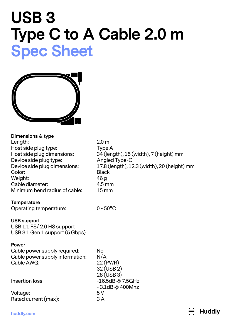# **USB 3 Type C to A Cable 2.0 m Spec Sheet**



| <b>Dimensions &amp; type</b><br>Length:<br>Host side plug type:<br>Host side plug dimensions:<br>Device side plug type:<br>Device side plug dimensions:<br>Color:<br>Weight:<br>Cable diameter:<br>Minimum bend radius of cable: | 2.0 <sub>m</sub><br>Type A<br>34 (length), 15 (width), 7 (height) mm<br>Angled Type-C<br>17.8 (length), 12.3 (width), 20 (height) mm<br><b>Black</b><br>46 <sub>g</sub><br>4.5 mm<br>$15 \, \text{mm}$ |
|----------------------------------------------------------------------------------------------------------------------------------------------------------------------------------------------------------------------------------|--------------------------------------------------------------------------------------------------------------------------------------------------------------------------------------------------------|
| <b>Temperature</b><br>Operating temperature:                                                                                                                                                                                     | $0 - 50^{\circ}$ C                                                                                                                                                                                     |
| <b>USB support</b><br>USB 1.1 FS/ 2.0 HS support<br>USB 3.1 Gen 1 support (5 Gbps)                                                                                                                                               |                                                                                                                                                                                                        |
| <b>Power</b><br>Cable power supply required:<br>Cable power supply information:<br>Cable AWG:                                                                                                                                    | <b>No</b><br>N/A<br>22 (PWR)<br>32 (USB 2)                                                                                                                                                             |
| Insertion loss:                                                                                                                                                                                                                  | 28 (USB 3)<br>$-16.5dB @ 7.5GHz$<br>$-3.1$ dB @ 400Mhz                                                                                                                                                 |
| Voltage:<br>Rated current (max):                                                                                                                                                                                                 | 5V<br>3A                                                                                                                                                                                               |
| huddly com                                                                                                                                                                                                                       | <b>Huddly</b>                                                                                                                                                                                          |

**huddly.com**